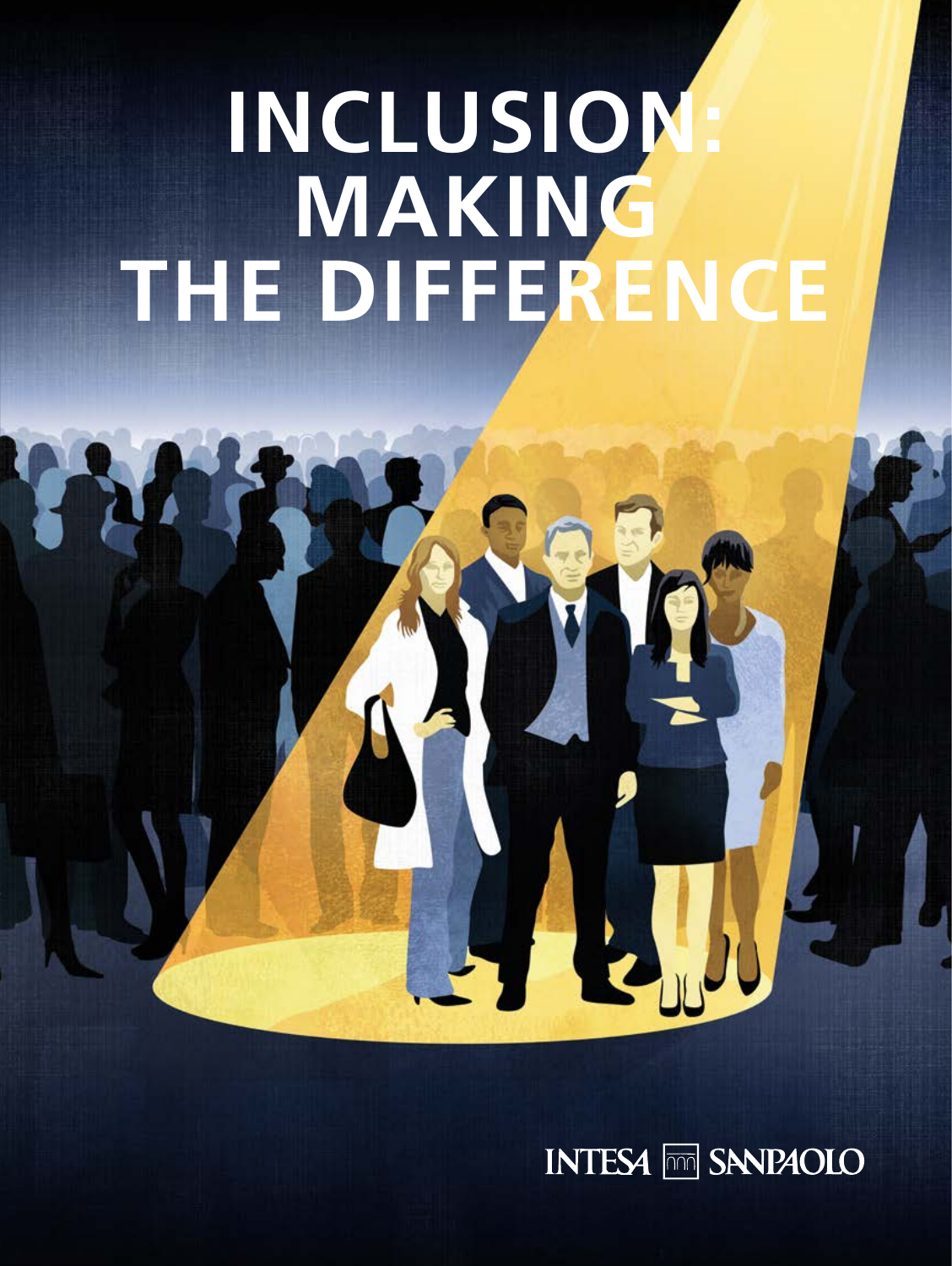### **INCLUSION: MAKING THE DIFFERENCE**



**INTESA <b>MM** SANPAOLO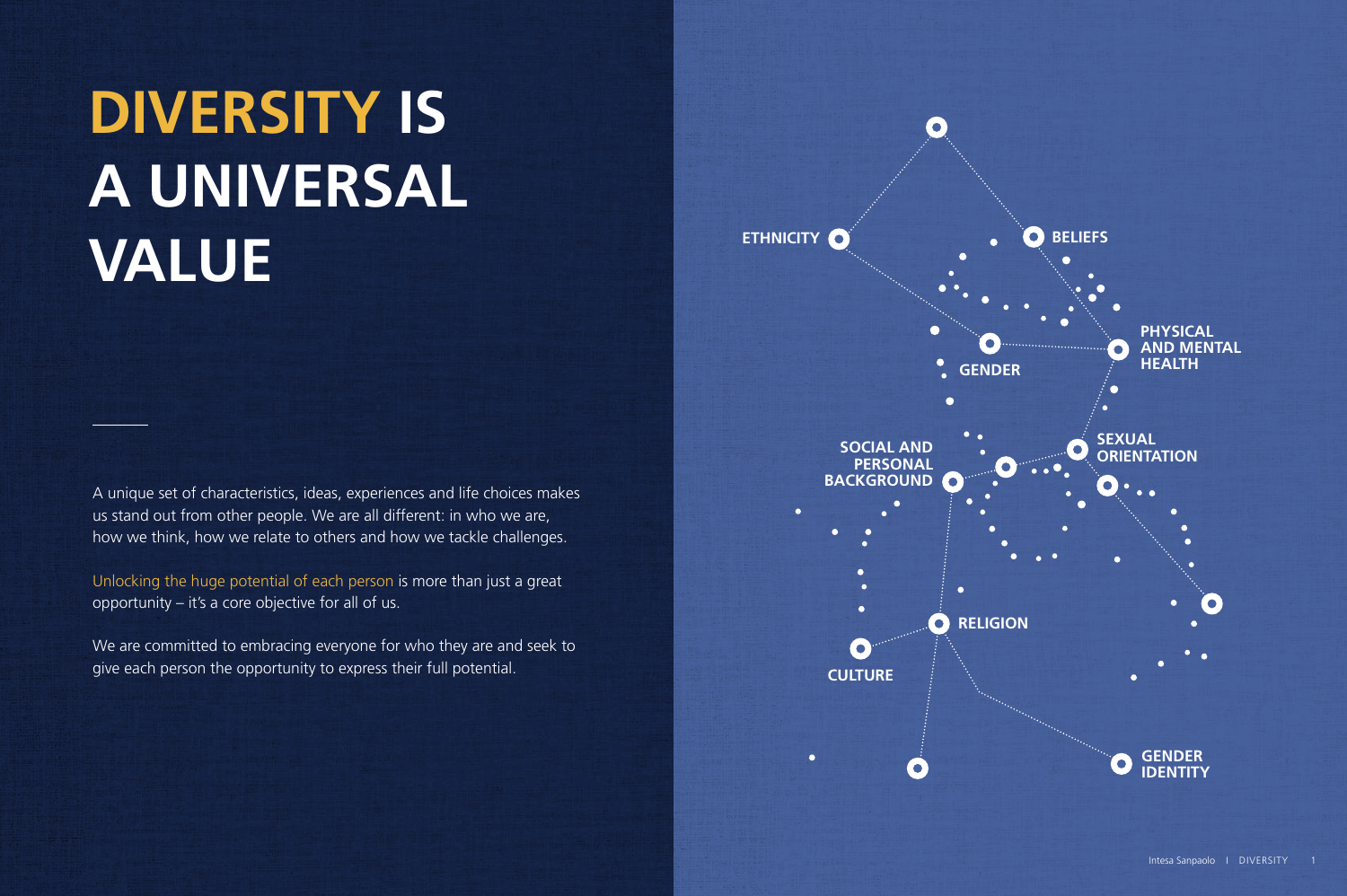### **DIVERSITY IS A UNIVERSAL VALUE**

A unique set of characteristics, ideas, experiences and life choices makes us stand out from other people. We are all different: in who we are, how we think, how we relate to others and how we tackle challenges.

**SOCIAL AND PERSONAL BACKGROUND** 

Unlocking the huge potential of each person is more than just a great opportunity – it's a core objective for all of us.

> $\mathbf O$ **CULTURE**

> > $\bullet$



 $\bullet$ 

 $\bullet$ 

We are committed to embracing everyone for who they are and seek to give each person the opportunity to express their full potential.

**ETHNICITY**

**GENDER**

 $\bullet$ 



**SEXUAL ORIENTATION**

 $\bullet$ 

**C** RELIGION



**BELIEFS**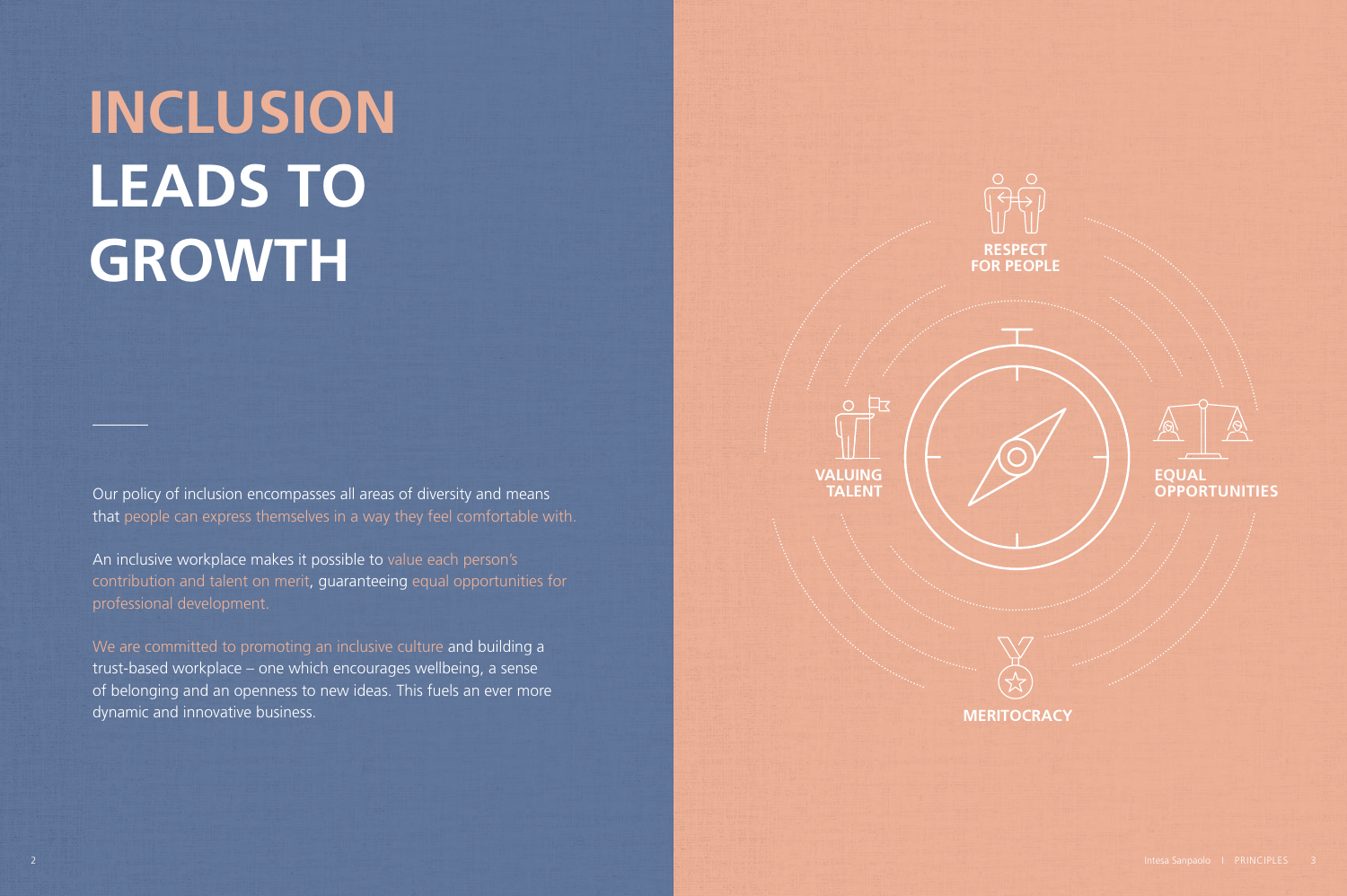2 Intesa Sanpaolo I PRINCIPLES 3

#### **EQUAL OPPORTUNITIES**

### **RESPECT FOR PEOPLE**







## **INCLUSION LEADS TO GROWTH**

Our policy of inclusion encompasses all areas of diversity and means that people can express themselves in a way they feel comfortable with.

An inclusive workplace makes it possible to value each person's contribution and talent on merit, guaranteeing equal opportunities for professional development.

We are committed to promoting an inclusive culture and building a trust-based workplace – one which encourages wellbeing, a sense of belonging and an openness to new ideas. This fuels an ever more dynamic and innovative business.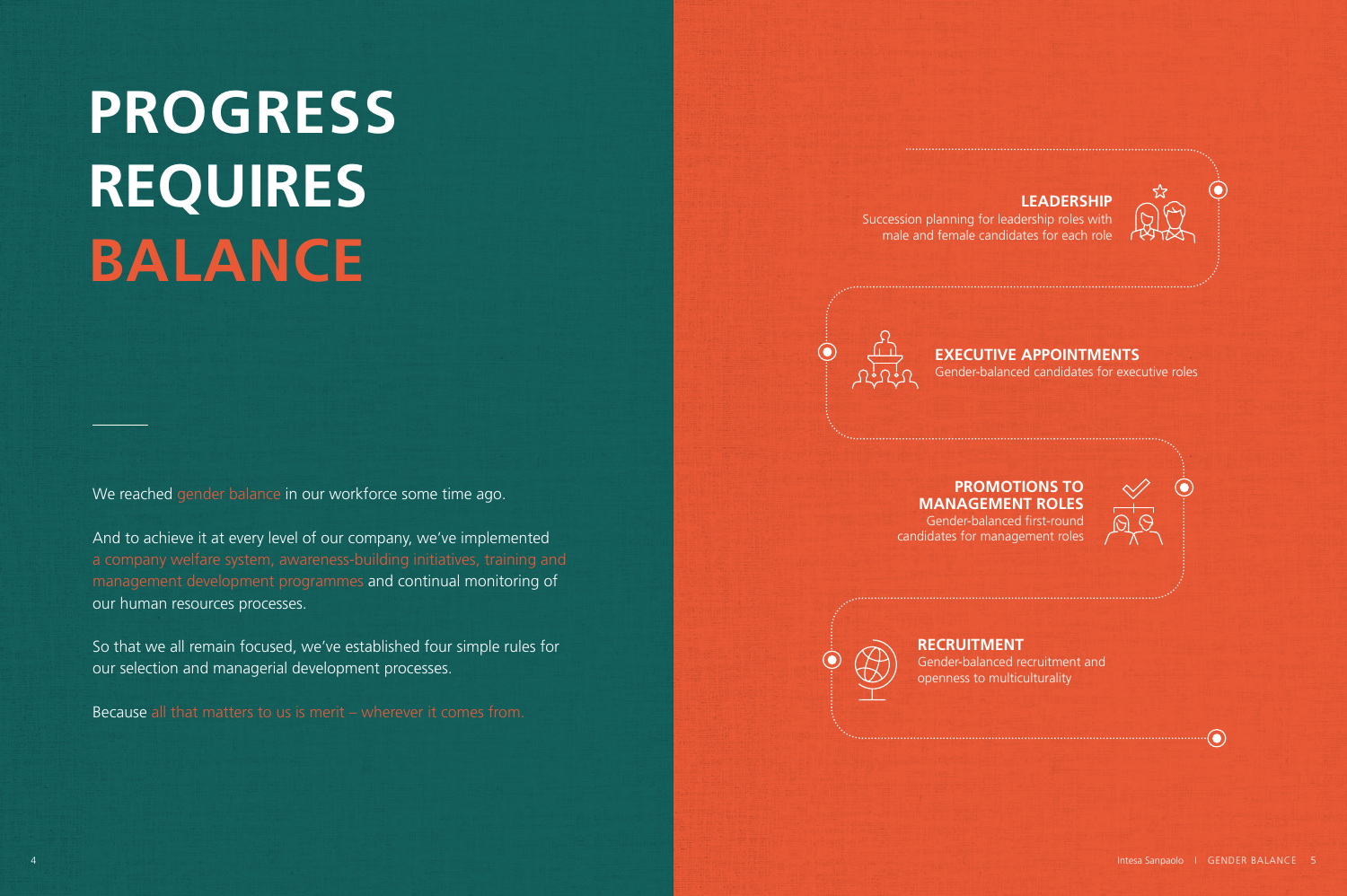### **PROGRESS REQUIRES BALANCE**

We reached gender balance in our workforce some time ago.

### **LEADERSHIP**

Succession planning for leadership roles with male and female candidates for each role





### **EXECUTIVE APPOINTMENTS**

Gender-balanced candidates for executive roles

### **PROMOTIONS TO MANAGEMENT ROLES**

Gender-balanced first-round candidates for management roles

### **RECRUITMENT**

Gender-balanced recruitment and openness to multiculturality



And to achieve it at every level of our company, we've implemented a company welfare system, awareness-building initiatives, training and management development programmes and continual monitoring of our human resources processes.

So that we all remain focused, we've established four simple rules for our selection and managerial development processes.

Because all that matters to us is merit – wherever it comes from.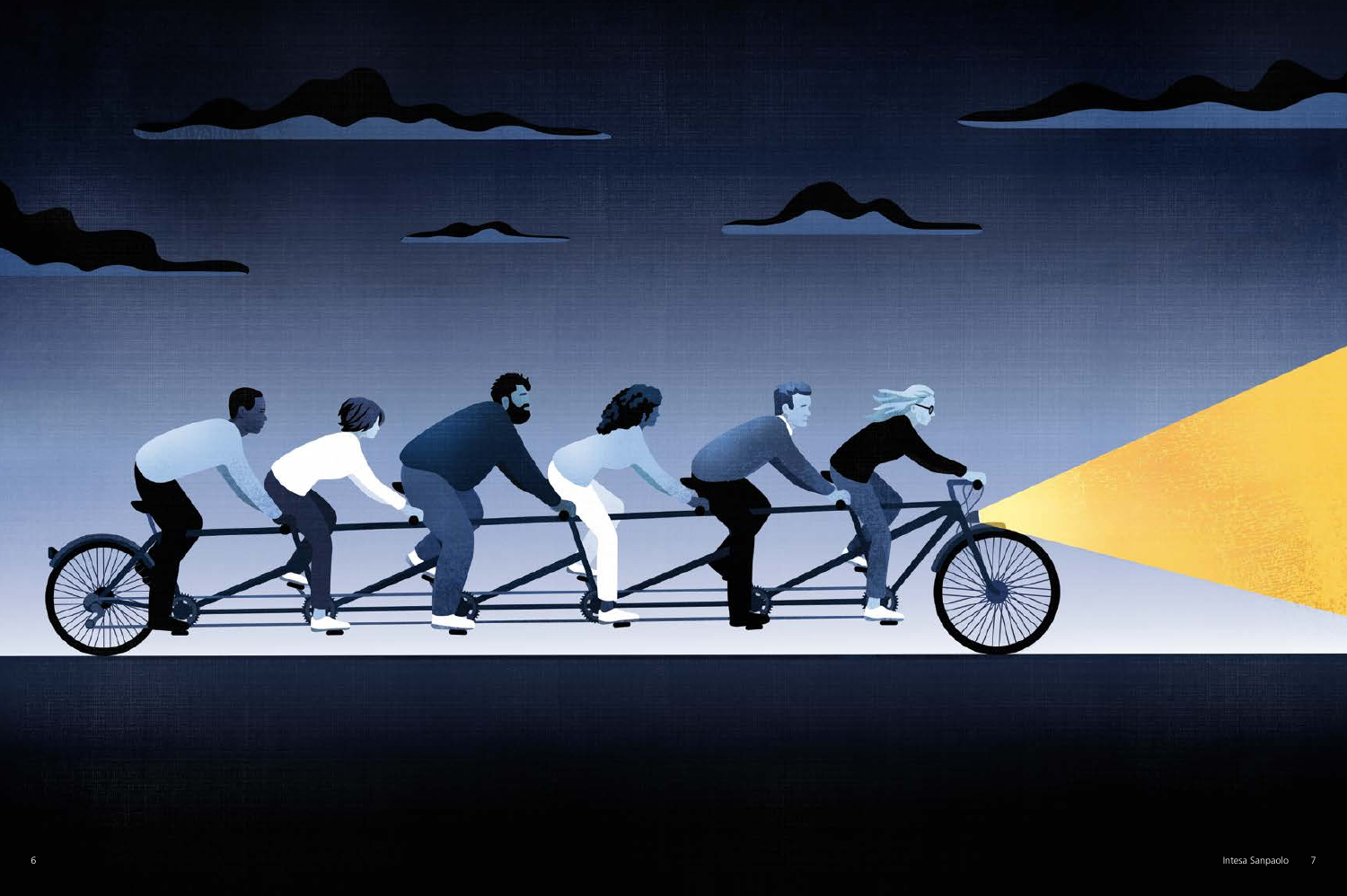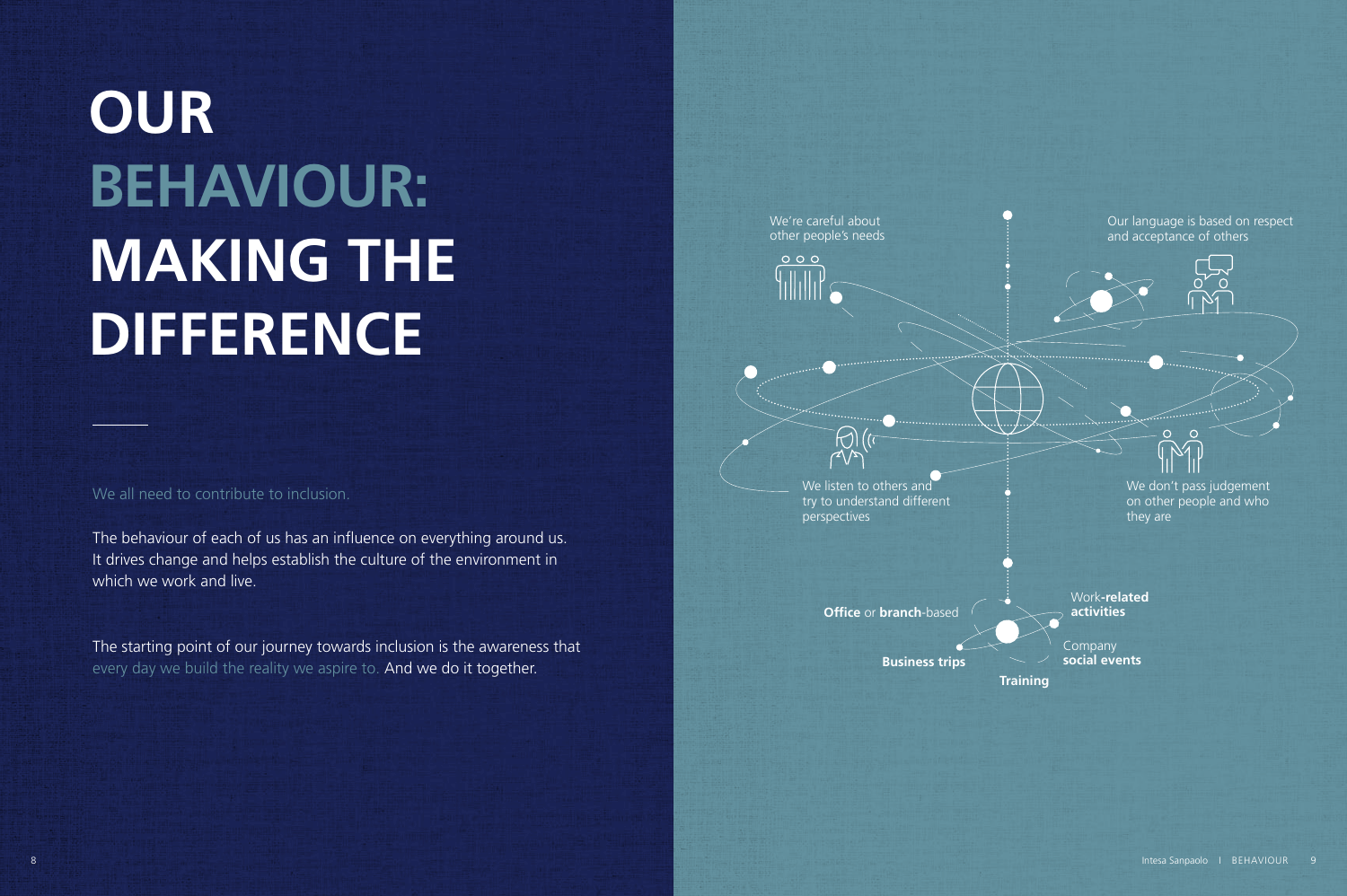# **OUR BEHAVIOUR: MAKING THE DIFFERENCE**

Work**-related activities**

**Business trips**

**Training**

**Office** or **branch**-based

We listen to others and try to understand different perspectives

 $(\neg)$ 

Company **social events**

We're careful about other people's needs

 $O$   $O$   $O$ 

The behaviour of each of us has an influence on everything around us. It drives change and helps establish the culture of the environment in which we work and live.

The starting point of our journey towards inclusion is the awareness that every day we build the reality we aspire to. And we do it together.

Our language is based on respect and acceptance of others



We don't pass judgement on other people and who they are

We all need to contribute to inclusion.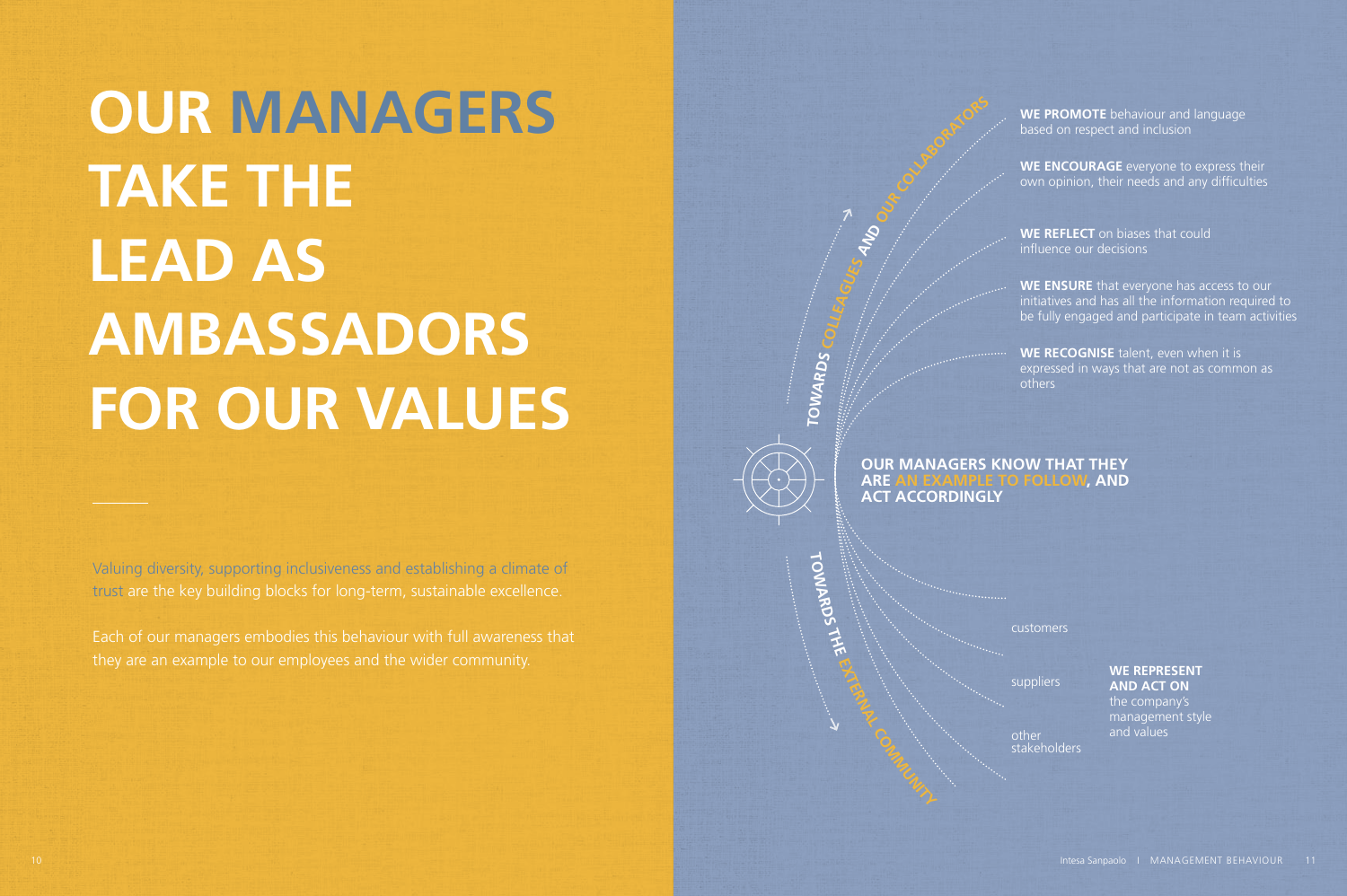# **OUR MANAGERS TAKE THE LEAD AS AMBASSADORS FOR OUR VALUES**

**TOWARDS**

**THE**

**POWER DISCRIPTION OF DISCRIPTION** 

customers

**WE ENCOURAGE** everyone to express their own opinion, their needs and any difficulties

suppliers

other stakeholders

**WE PROMOTE** behaviour and language based on respect and inclusion

**WE REFLECT** on biases that could influence our decisions

**WE ENSURE** that everyone has access to our initiatives and has all the information required to be fully engaged and participate in team activities

**WE RECOGNISE** talent, even when it is expressed in ways that are not as common as others

### **OUR MANAGERS KNOW THAT THEY<br>ARE AN EXAMPLE TO FOLLOW, AND AND**

#### **WE REPRESENT AND ACT ON**

the company's management style and values

**ACT ACCORDINGLY**

Valuing diversity, supporting inclusiveness and establishing a climate of trust are the key building blocks for long-term, sustainable excellence.

Each of our managers embodies this behaviour with full awareness that they are an example to our employees and the wider community.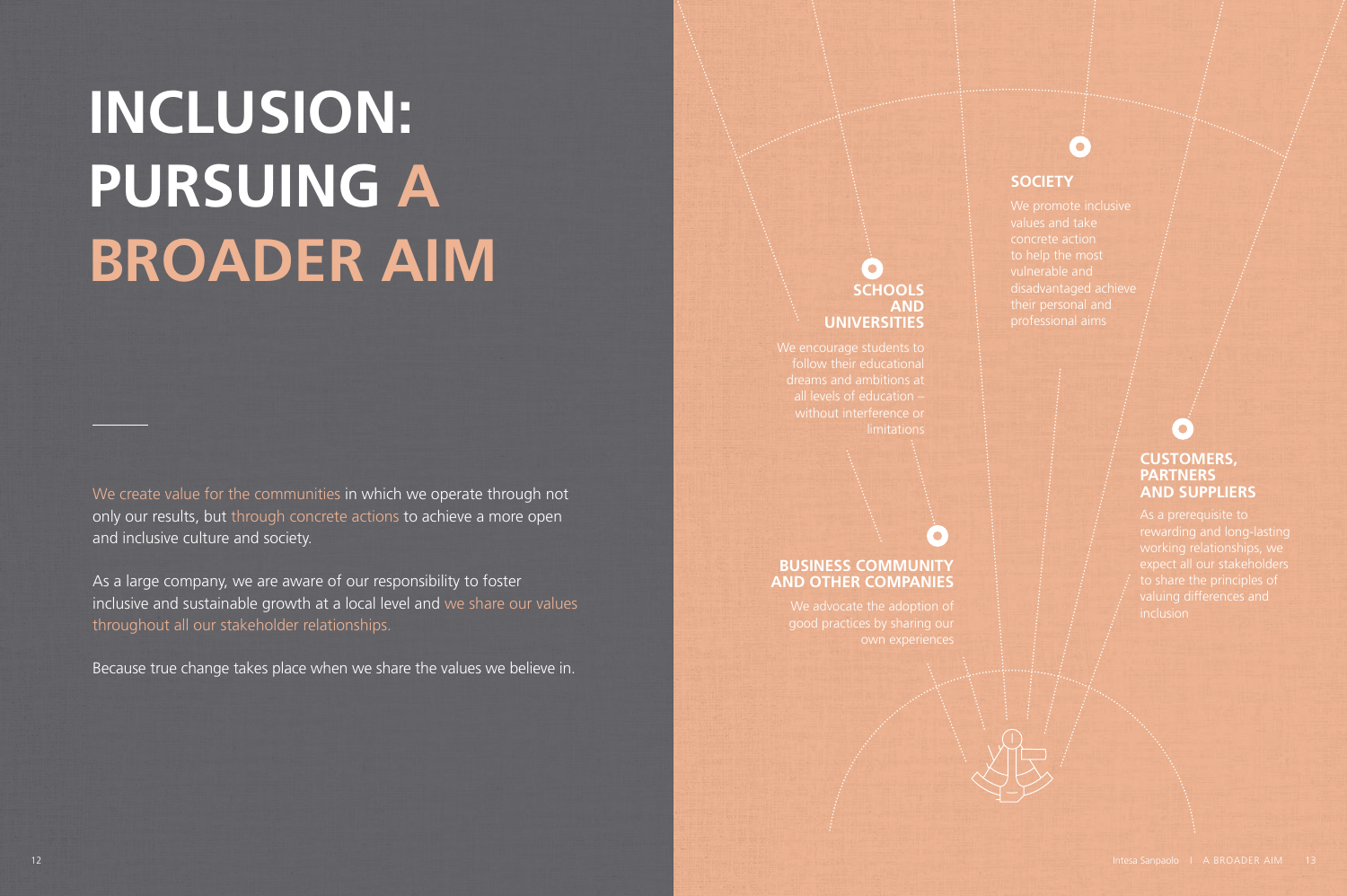#### $\bullet$ **SCHOOLS AND UNIVERSITIES**

## **INCLUSION: PURSUING A BROADER AIM**

We encourage students to follow their educational dreams and ambitions at all levels of education – without interference or limitations

#### **SOCIETY**

We promote inclusive values and take concrete action to help the most vulnerable and disadvantaged achieve their personal and

 $\bullet$ 

### **BUSINESS COMMUNITY AND OTHER COMPANIES**

 $\bullet$ 

We advocate the adoption of good practices by sharing our own experiences

#### **CUSTOMERS, PARTNERS AND SUPPLIERS**

As a prerequisite to expect all our stakeholders to share the principles of valuing differences and inclusion

We create value for the communities in which we operate through not only our results, but through concrete actions to achieve a more open and inclusive culture and society.

As a large company, we are aware of our responsibility to foster inclusive and sustainable growth at a local level and we share our values throughout all our stakeholder relationships.

Because true change takes place when we share the values we believe in.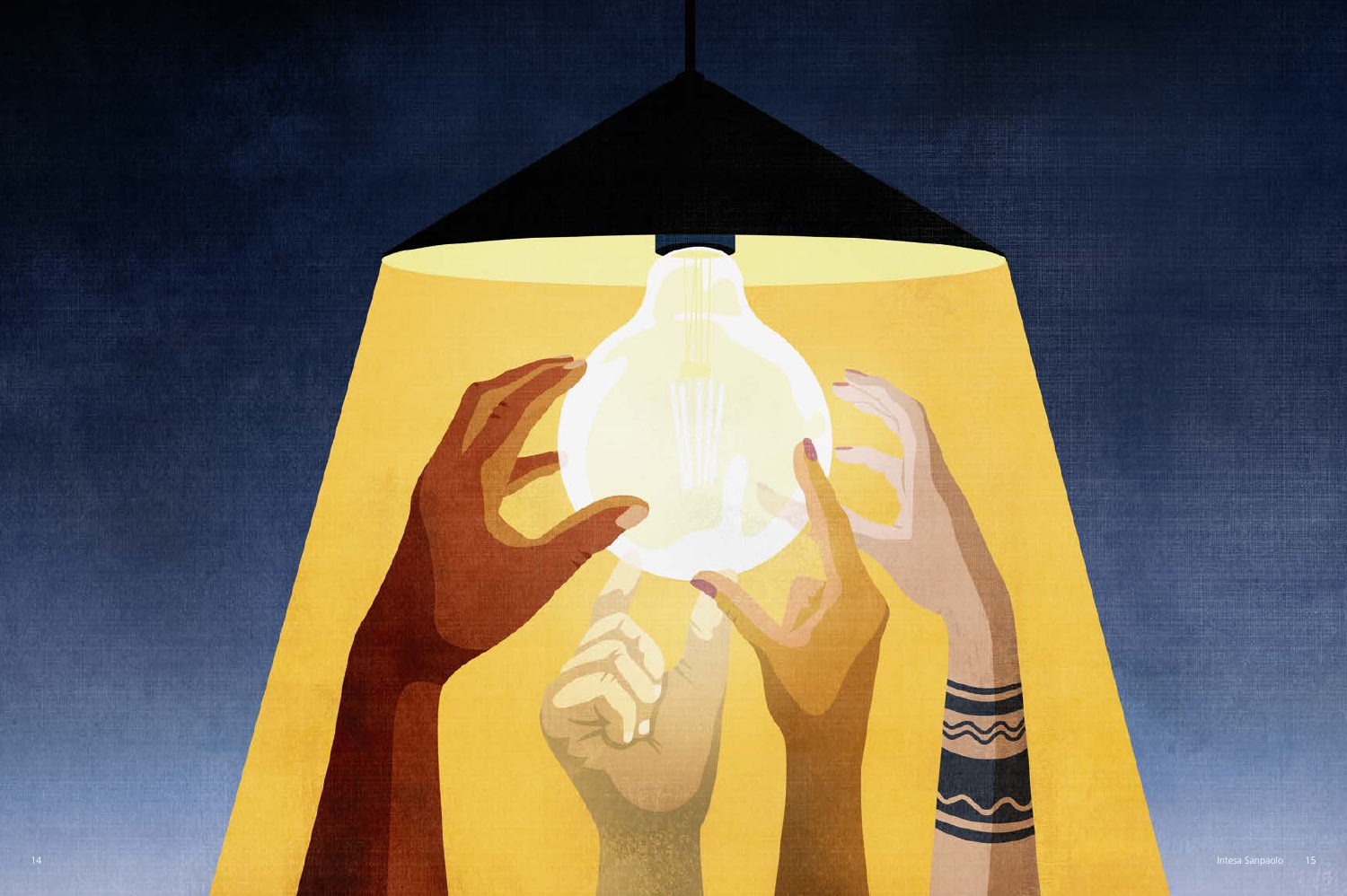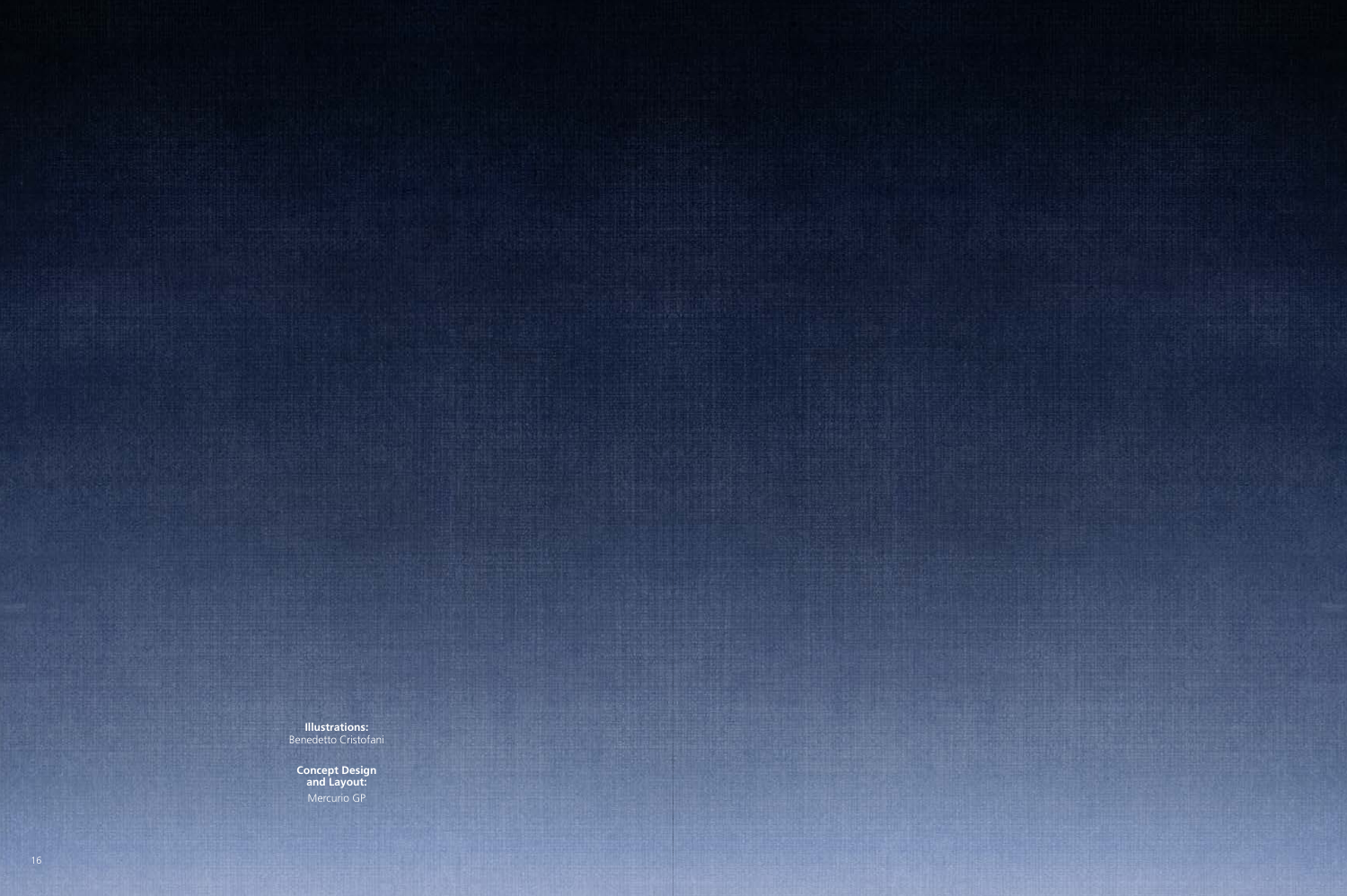**Illustrations:** Benedetto Cristofani

> **Concept Design and Layout:** Mercurio GP